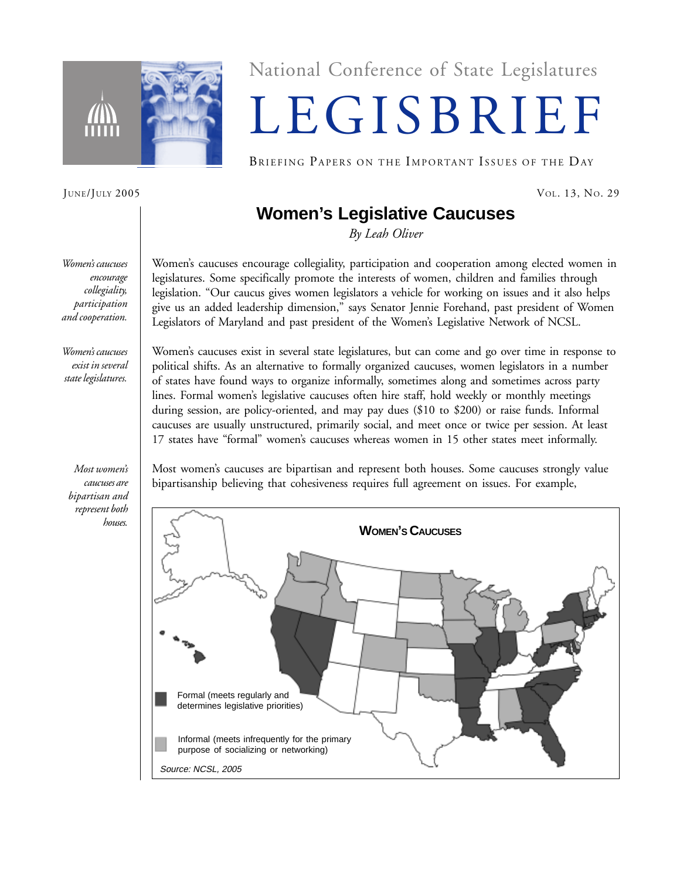

National Conference of State Legislatures

# LEGISBRIEF

BRIEFING PAPERS ON THE IMPORTANT ISSUES OF THE DAY

JUNE/JULY 2005 VOL. 13, NO. 29

# **Women's Legislative Caucuses**

*By Leah Oliver*

*Women's caucuses encourage collegiality, participation and cooperation.*

*Women's caucuses exist in several state legislatures.*

*Most women's caucuses are bipartisan and represent both houses.*

Women's caucuses encourage collegiality, participation and cooperation among elected women in legislatures. Some specifically promote the interests of women, children and families through legislation. "Our caucus gives women legislators a vehicle for working on issues and it also helps give us an added leadership dimension," says Senator Jennie Forehand, past president of Women Legislators of Maryland and past president of the Women's Legislative Network of NCSL.

Women's caucuses exist in several state legislatures, but can come and go over time in response to political shifts. As an alternative to formally organized caucuses, women legislators in a number of states have found ways to organize informally, sometimes along and sometimes across party lines. Formal women's legislative caucuses often hire staff, hold weekly or monthly meetings during session, are policy-oriented, and may pay dues (\$10 to \$200) or raise funds. Informal caucuses are usually unstructured, primarily social, and meet once or twice per session. At least 17 states have "formal" women's caucuses whereas women in 15 other states meet informally.

Most women's caucuses are bipartisan and represent both houses. Some caucuses strongly value bipartisanship believing that cohesiveness requires full agreement on issues. For example,